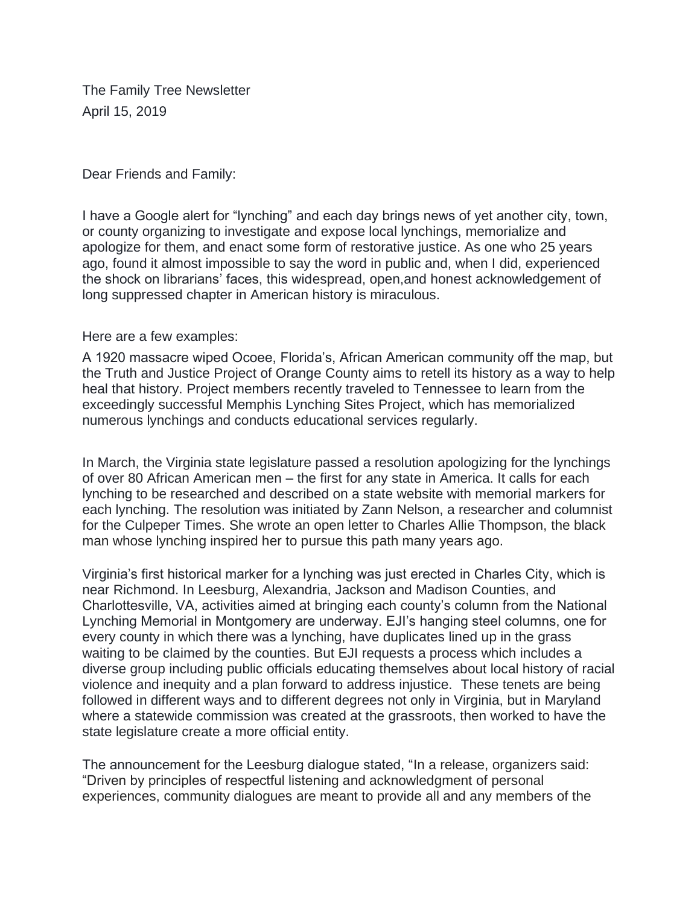The Family Tree Newsletter April 15, 2019

#### Dear Friends and Family:

I have a Google alert for "lynching" and each day brings news of yet another city, town, or county organizing to investigate and expose local lynchings, memorialize and apologize for them, and enact some form of restorative justice. As one who 25 years ago, found it almost impossible to say the word in public and, when I did, experienced the shock on librarians' faces, this widespread, open,and honest acknowledgement of long suppressed chapter in American history is miraculous.

#### Here are a few examples:

A 1920 massacre wiped Ocoee, Florida's, African American community off the map, but the Truth and Justice Project of Orange County aims to retell its history as a way to help heal that history. Project members recently traveled to Tennessee to learn from the exceedingly successful Memphis Lynching Sites Project, which has memorialized numerous lynchings and conducts educational services regularly.

In March, the Virginia state legislature passed a resolution apologizing for the lynchings of over 80 African American men – the first for any state in America. It calls for each lynching to be researched and described on a state website with memorial markers for each lynching. The resolution was initiated by Zann Nelson, a researcher and columnist for the Culpeper Times. She wrote an open letter to Charles Allie Thompson, the black man whose lynching inspired her to pursue this path many years ago.

Virginia's first historical marker for a lynching was just erected in Charles City, which is near Richmond. In Leesburg, Alexandria, Jackson and Madison Counties, and Charlottesville, VA, activities aimed at bringing each county's column from the National Lynching Memorial in Montgomery are underway. EJI's hanging steel columns, one for every county in which there was a lynching, have duplicates lined up in the grass waiting to be claimed by the counties. But EJI requests a process which includes a diverse group including public officials educating themselves about local history of racial violence and inequity and a plan forward to address injustice. These tenets are being followed in different ways and to different degrees not only in Virginia, but in Maryland where a statewide commission was created at the grassroots, then worked to have the state legislature create a more official entity.

The announcement for the Leesburg dialogue stated, "In a release, organizers said: "Driven by principles of respectful listening and acknowledgment of personal experiences, community dialogues are meant to provide all and any members of the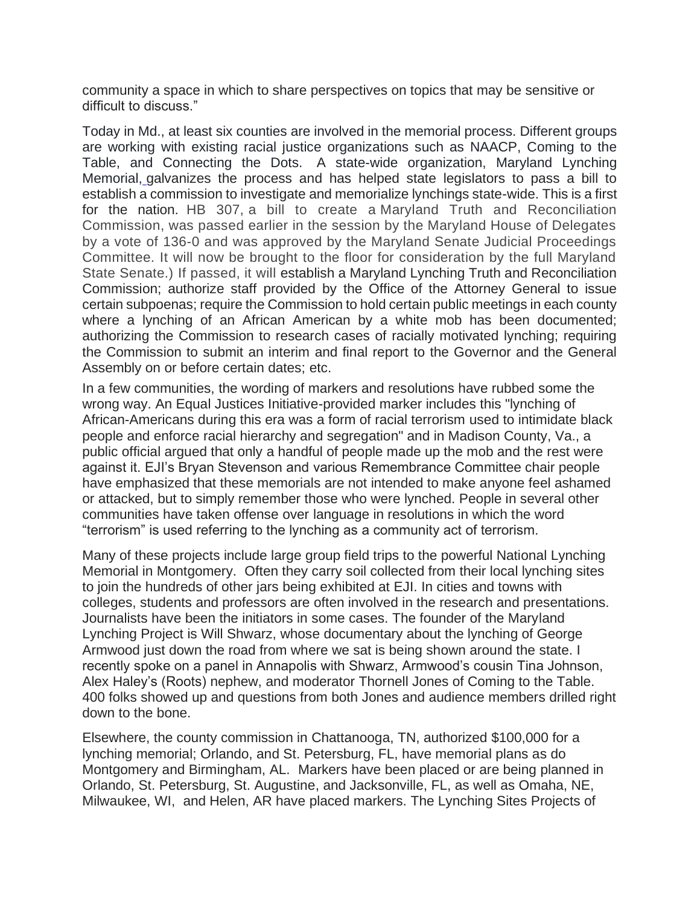community a space in which to share perspectives on topics that may be sensitive or difficult to discuss."

Today in Md., at least six counties are involved in the memorial process. Different groups are working with existing racial justice organizations such as NAACP, Coming to the Table, and Connecting the Dots. A state-wide organization, Maryland Lynching Memorial, galvanizes the process and has helped state legislators to pass a bill to establish a commission to investigate and memorialize lynchings state-wide. This is a first for the nation. HB 307, a bill to create a Maryland Truth and Reconciliation Commission, was passed earlier in the session by the Maryland House of Delegates by a vote of 136-0 and was approved by the Maryland Senate Judicial Proceedings Committee. It will now be brought to the floor for consideration by the full Maryland State Senate.) If passed, it will establish a Maryland Lynching Truth and Reconciliation Commission; authorize staff provided by the Office of the Attorney General to issue certain subpoenas; require the Commission to hold certain public meetings in each county where a lynching of an African American by a white mob has been documented; authorizing the Commission to research cases of racially motivated lynching; requiring the Commission to submit an interim and final report to the Governor and the General Assembly on or before certain dates; etc.

In a few communities, the wording of markers and resolutions have rubbed some the wrong way. An Equal Justices Initiative-provided marker includes this "lynching of African-Americans during this era was a form of racial terrorism used to intimidate black people and enforce racial hierarchy and segregation" and in Madison County, Va., a public official argued that only a handful of people made up the mob and the rest were against it. EJI's Bryan Stevenson and various Remembrance Committee chair people have emphasized that these memorials are not intended to make anyone feel ashamed or attacked, but to simply remember those who were lynched. People in several other communities have taken offense over language in resolutions in which the word "terrorism" is used referring to the lynching as a community act of terrorism.

Many of these projects include large group field trips to the powerful National Lynching Memorial in Montgomery. Often they carry soil collected from their local lynching sites to join the hundreds of other jars being exhibited at EJI. In cities and towns with colleges, students and professors are often involved in the research and presentations. Journalists have been the initiators in some cases. The founder of the Maryland Lynching Project is Will Shwarz, whose documentary about the lynching of George Armwood just down the road from where we sat is being shown around the state. I recently spoke on a panel in Annapolis with Shwarz, Armwood's cousin Tina Johnson, Alex Haley's (Roots) nephew, and moderator Thornell Jones of Coming to the Table. 400 folks showed up and questions from both Jones and audience members drilled right down to the bone.

Elsewhere, the county commission in Chattanooga, TN, authorized \$100,000 for a lynching memorial; Orlando, and St. Petersburg, FL, have memorial plans as do Montgomery and Birmingham, AL. Markers have been placed or are being planned in Orlando, St. Petersburg, St. Augustine, and Jacksonville, FL, as well as Omaha, NE, Milwaukee, WI, and Helen, AR have placed markers. The Lynching Sites Projects of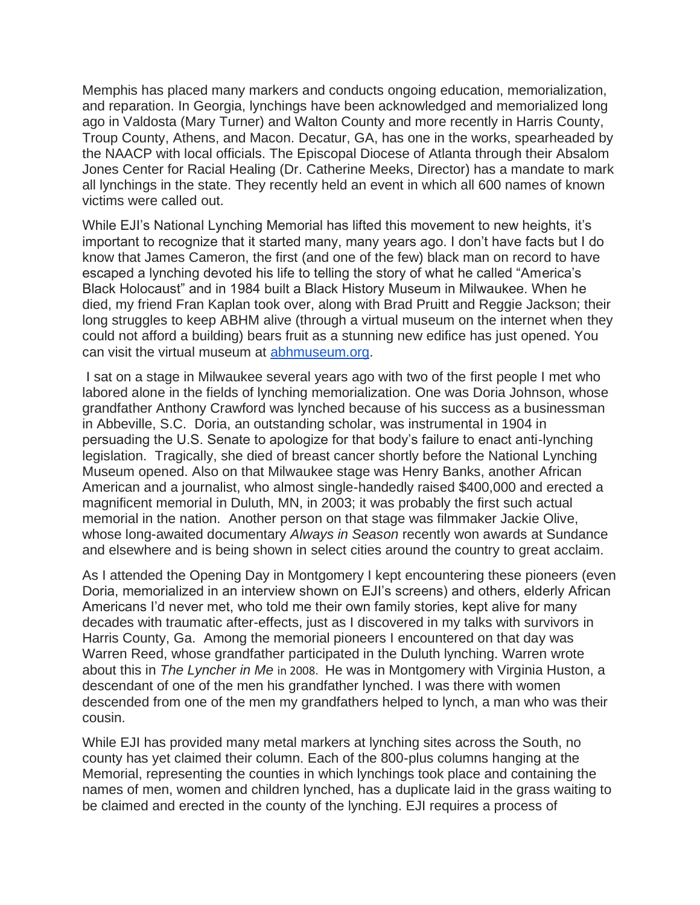Memphis has placed many markers and conducts ongoing education, memorialization, and reparation. In Georgia, lynchings have been acknowledged and memorialized long ago in Valdosta (Mary Turner) and Walton County and more recently in Harris County, Troup County, Athens, and Macon. Decatur, GA, has one in the works, spearheaded by the NAACP with local officials. The Episcopal Diocese of Atlanta through their Absalom Jones Center for Racial Healing (Dr. Catherine Meeks, Director) has a mandate to mark all lynchings in the state. They recently held an event in which all 600 names of known victims were called out.

While EJI's National Lynching Memorial has lifted this movement to new heights, it's important to recognize that it started many, many years ago. I don't have facts but I do know that James Cameron, the first (and one of the few) black man on record to have escaped a lynching devoted his life to telling the story of what he called "America's Black Holocaust" and in 1984 built a Black History Museum in Milwaukee. When he died, my friend Fran Kaplan took over, along with Brad Pruitt and Reggie Jackson; their long struggles to keep ABHM alive (through a virtual museum on the internet when they could not afford a building) bears fruit as a stunning new edifice has just opened. You can visit the virtual museum at [abhmuseum.org.](http://abhmuseum.org/)

I sat on a stage in Milwaukee several years ago with two of the first people I met who labored alone in the fields of lynching memorialization. One was Doria Johnson, whose grandfather Anthony Crawford was lynched because of his success as a businessman in Abbeville, S.C. Doria, an outstanding scholar, was instrumental in 1904 in persuading the U.S. Senate to apologize for that body's failure to enact anti-lynching legislation. Tragically, she died of breast cancer shortly before the National Lynching Museum opened. Also on that Milwaukee stage was Henry Banks, another African American and a journalist, who almost single-handedly raised \$400,000 and erected a magnificent memorial in Duluth, MN, in 2003; it was probably the first such actual memorial in the nation. Another person on that stage was filmmaker Jackie Olive, whose long-awaited documentary *Always in Season* recently won awards at Sundance and elsewhere and is being shown in select cities around the country to great acclaim.

As I attended the Opening Day in Montgomery I kept encountering these pioneers (even Doria, memorialized in an interview shown on EJI's screens) and others, elderly African Americans I'd never met, who told me their own family stories, kept alive for many decades with traumatic after-effects, just as I discovered in my talks with survivors in Harris County, Ga. Among the memorial pioneers I encountered on that day was Warren Reed, whose grandfather participated in the Duluth lynching. Warren wrote about this in *The Lyncher in Me* in 2008. He was in Montgomery with Virginia Huston, a descendant of one of the men his grandfather lynched. I was there with women descended from one of the men my grandfathers helped to lynch, a man who was their cousin.

While EJI has provided many metal markers at lynching sites across the South, no county has yet claimed their column. Each of the 800-plus columns hanging at the Memorial, representing the counties in which lynchings took place and containing the names of men, women and children lynched, has a duplicate laid in the grass waiting to be claimed and erected in the county of the lynching. EJI requires a process of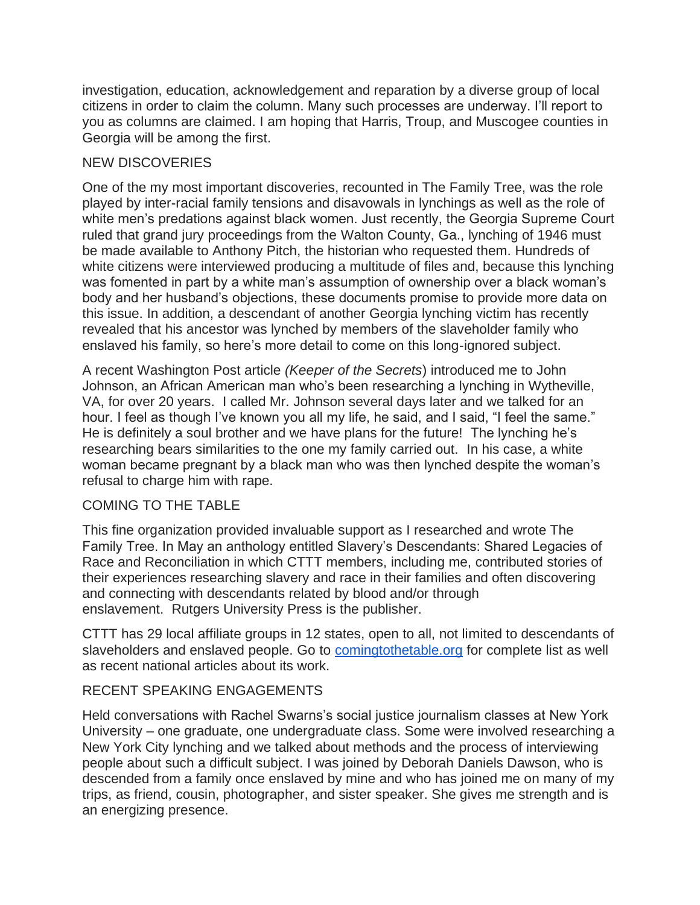investigation, education, acknowledgement and reparation by a diverse group of local citizens in order to claim the column. Many such processes are underway. I'll report to you as columns are claimed. I am hoping that Harris, Troup, and Muscogee counties in Georgia will be among the first.

## NEW DISCOVERIES

One of the my most important discoveries, recounted in The Family Tree, was the role played by inter-racial family tensions and disavowals in lynchings as well as the role of white men's predations against black women. Just recently, the Georgia Supreme Court ruled that grand jury proceedings from the Walton County, Ga., lynching of 1946 must be made available to Anthony Pitch, the historian who requested them. Hundreds of white citizens were interviewed producing a multitude of files and, because this lynching was fomented in part by a white man's assumption of ownership over a black woman's body and her husband's objections, these documents promise to provide more data on this issue. In addition, a descendant of another Georgia lynching victim has recently revealed that his ancestor was lynched by members of the slaveholder family who enslaved his family, so here's more detail to come on this long-ignored subject.

A recent Washington Post article *(Keeper of the Secrets*) introduced me to John Johnson, an African American man who's been researching a lynching in Wytheville, VA, for over 20 years. I called Mr. Johnson several days later and we talked for an hour. I feel as though I've known you all my life, he said, and I said, "I feel the same." He is definitely a soul brother and we have plans for the future! The lynching he's researching bears similarities to the one my family carried out. In his case, a white woman became pregnant by a black man who was then lynched despite the woman's refusal to charge him with rape.

### COMING TO THE TABLE

This fine organization provided invaluable support as I researched and wrote The Family Tree. In May an anthology entitled Slavery's Descendants: Shared Legacies of Race and Reconciliation in which CTTT members, including me, contributed stories of their experiences researching slavery and race in their families and often discovering and connecting with descendants related by blood and/or through enslavement. Rutgers University Press is the publisher.

CTTT has 29 local affiliate groups in 12 states, open to all, not limited to descendants of slaveholders and enslaved people. Go to [comingtothetable.org](http://comingtothetable.org/) for complete list as well as recent national articles about its work.

# RECENT SPEAKING ENGAGEMENTS

Held conversations with Rachel Swarns's social justice journalism classes at New York University – one graduate, one undergraduate class. Some were involved researching a New York City lynching and we talked about methods and the process of interviewing people about such a difficult subject. I was joined by Deborah Daniels Dawson, who is descended from a family once enslaved by mine and who has joined me on many of my trips, as friend, cousin, photographer, and sister speaker. She gives me strength and is an energizing presence.